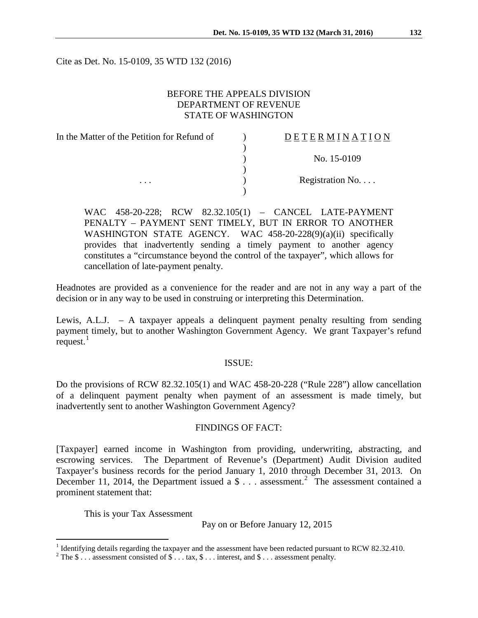Cite as Det. No. 15-0109, 35 WTD 132 (2016)

## BEFORE THE APPEALS DIVISION DEPARTMENT OF REVENUE STATE OF WASHINGTON

| In the Matter of the Petition for Refund of | DETERMINATION   |
|---------------------------------------------|-----------------|
|                                             |                 |
|                                             | No. 15-0109     |
|                                             |                 |
| $\cdots$                                    | Registration No |
|                                             |                 |

WAC 458-20-228; RCW 82.32.105(1) – CANCEL LATE-PAYMENT PENALTY – PAYMENT SENT TIMELY, BUT IN ERROR TO ANOTHER WASHINGTON STATE AGENCY. WAC 458-20-228(9)(a)(ii) specifically provides that inadvertently sending a timely payment to another agency constitutes a "circumstance beyond the control of the taxpayer", which allows for cancellation of late-payment penalty.

Headnotes are provided as a convenience for the reader and are not in any way a part of the decision or in any way to be used in construing or interpreting this Determination.

Lewis, A.L.J. – A taxpayer appeals a delinquent payment penalty resulting from sending payment timely, but to another Washington Government Agency. We grant Taxpayer's refund request. $<sup>1</sup>$  $<sup>1</sup>$  $<sup>1</sup>$ </sup>

## ISSUE:

Do the provisions of RCW 82.32.105(1) and WAC 458-20-228 ("Rule 228") allow cancellation of a delinquent payment penalty when payment of an assessment is made timely, but inadvertently sent to another Washington Government Agency?

#### FINDINGS OF FACT:

[Taxpayer] earned income in Washington from providing, underwriting, abstracting, and escrowing services. The Department of Revenue's (Department) Audit Division audited Taxpayer's business records for the period January 1, 2010 through December 31, 2013. On December 11, [2](#page-0-1)014, the Department issued a \$ . . . assessment.<sup>2</sup> The assessment contained a prominent statement that:

This is your Tax Assessment

Pay on or Before January 12, 2015

<span id="page-0-0"></span><sup>&</sup>lt;sup>1</sup> Identifying details regarding the taxpayer and the assessment have been redacted pursuant to RCW 82.32.410.<br><sup>2</sup> The \$ . . . assessment consisted of \$ . . . tax, \$ . . . interest, and \$ . . . assessment penalty.

<span id="page-0-1"></span>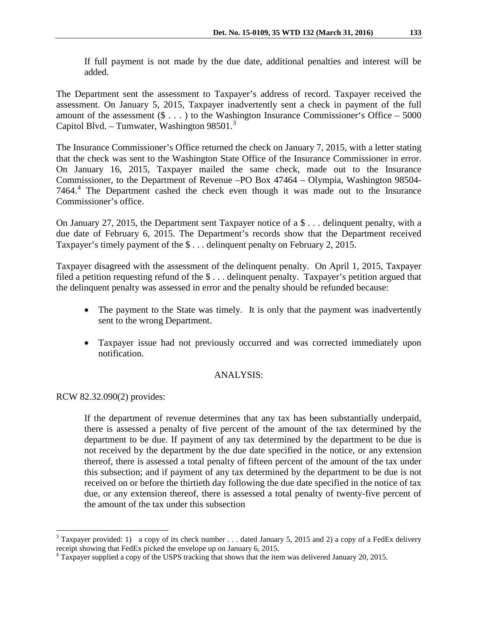If full payment is not made by the due date, additional penalties and interest will be added.

The Department sent the assessment to Taxpayer's address of record. Taxpayer received the assessment. On January 5, 2015, Taxpayer inadvertently sent a check in payment of the full amount of the assessment  $(\$ \dots)$  to the Washington Insurance Commissioner's Office – 5000 Capitol Blvd. - Tumwater, Washington 98501. $^3$  $^3$ 

The Insurance Commissioner's Office returned the check on January 7, 2015, with a letter stating that the check was sent to the Washington State Office of the Insurance Commissioner in error. On January 16, 2015, Taxpayer mailed the same check, made out to the Insurance Commissioner, to the Department of Revenue –PO Box 47464 – Olympia, Washington 98504- 7464.[4](#page-1-1) The Department cashed the check even though it was made out to the Insurance Commissioner's office.

On January 27, 2015, the Department sent Taxpayer notice of a \$ . . . delinquent penalty, with a due date of February 6, 2015. The Department's records show that the Department received Taxpayer's timely payment of the \$ . . . delinquent penalty on February 2, 2015.

Taxpayer disagreed with the assessment of the delinquent penalty. On April 1, 2015, Taxpayer filed a petition requesting refund of the \$ . . . delinquent penalty. Taxpayer's petition argued that the delinquent penalty was assessed in error and the penalty should be refunded because:

- The payment to the State was timely. It is only that the payment was inadvertently sent to the wrong Department.
- Taxpayer issue had not previously occurred and was corrected immediately upon notification.

# ANALYSIS:

RCW 82.32.090(2) provides:

If the department of revenue determines that any tax has been substantially underpaid, there is assessed a penalty of five percent of the amount of the tax determined by the department to be due. If payment of any tax determined by the department to be due is not received by the department by the due date specified in the notice, or any extension thereof, there is assessed a total penalty of fifteen percent of the amount of the tax under this subsection; and if payment of any tax determined by the department to be due is not received on or before the thirtieth day following the due date specified in the notice of tax due, or any extension thereof, there is assessed a total penalty of twenty-five percent of the amount of the tax under this subsection

<span id="page-1-0"></span><sup>&</sup>lt;sup>3</sup> Taxpayer provided: 1) a copy of its check number . . . dated January 5, 2015 and 2) a copy of a FedEx delivery receipt showing that FedEx picked the envelope up on January 6, 2015.

<span id="page-1-1"></span> $4$  Taxpayer supplied a copy of the USPS tracking that shows that the item was delivered January 20, 2015.